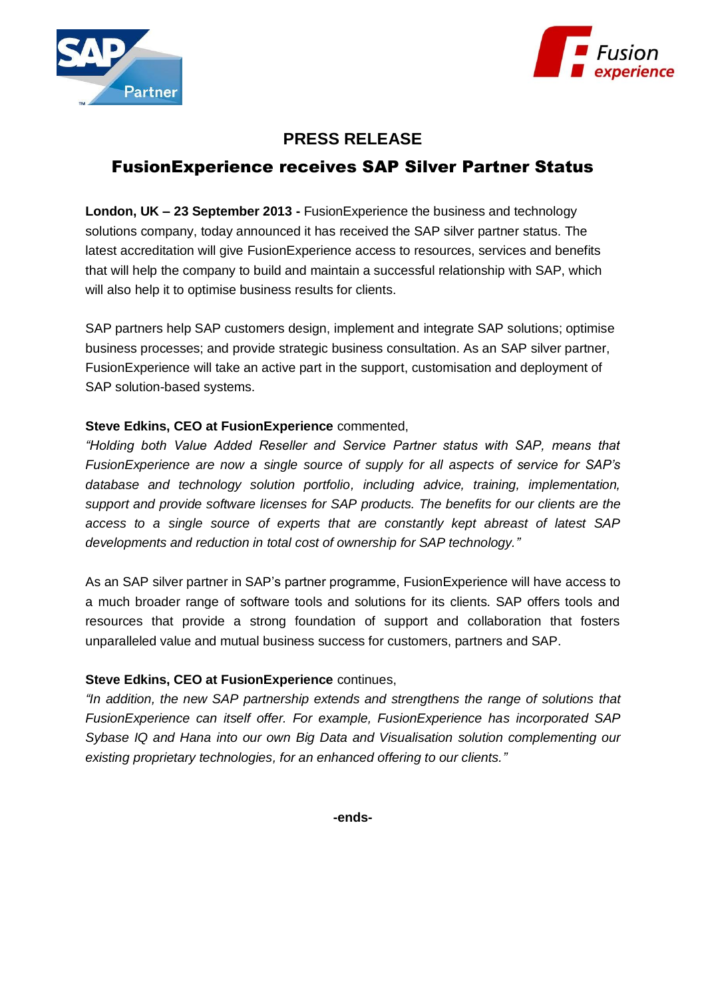



## **PRESS RELEASE** FusionExperience receives SAP Silver Partner Status

**London, UK – 23 September 2013 -** FusionExperience the business and technology solutions company, today announced it has received the SAP silver partner status. The latest accreditation will give FusionExperience access to resources, services and benefits that will help the company to build and maintain a successful relationship with SAP, which will also help it to optimise business results for clients.

SAP partners help SAP customers design, implement and integrate SAP solutions; optimise business processes; and provide strategic business consultation. As an SAP silver partner, FusionExperience will take an active part in the support, customisation and deployment of SAP solution-based systems.

## **Steve Edkins, CEO at FusionExperience** commented,

*"Holding both Value Added Reseller and Service Partner status with SAP, means that FusionExperience are now a single source of supply for all aspects of service for SAP's database and technology solution portfolio, including advice, training, implementation, support and provide software licenses for SAP products. The benefits for our clients are the access to a single source of experts that are constantly kept abreast of latest SAP developments and reduction in total cost of ownership for SAP technology."*

As an SAP silver partner in SAP's partner programme, FusionExperience will have access to a much broader range of software tools and solutions for its clients. SAP offers tools and resources that provide a strong foundation of support and collaboration that fosters unparalleled value and mutual business success for customers, partners and SAP.

## **Steve Edkins, CEO at FusionExperience** continues,

*"In addition, the new SAP partnership extends and strengthens the range of solutions that FusionExperience can itself offer. For example, FusionExperience has incorporated SAP Sybase IQ and Hana into our own Big Data and Visualisation solution complementing our existing proprietary technologies, for an enhanced offering to our clients."* 

**-ends-**